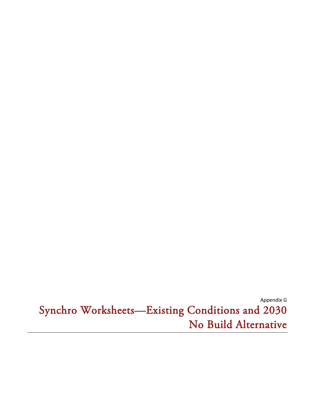Appendix G Synchro Worksheets-Existing Conditions and 2030 No Build Alternative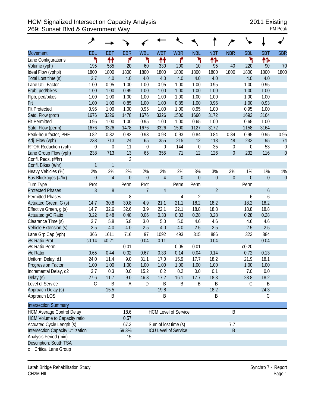## HCM Signalized Intersection Capacity Analysis 2011 Existing 269: Sunset Blvd & Government Way PM Peak

|                                          | عر               |                |                |                |                      |                             |                |                |                |                  |             |                  |
|------------------------------------------|------------------|----------------|----------------|----------------|----------------------|-----------------------------|----------------|----------------|----------------|------------------|-------------|------------------|
| <b>Movement</b>                          | EBL              | <b>EBT</b>     | <b>EBR</b>     | <b>WBL</b>     | <b>WBT</b>           | <b>WBR</b>                  | <b>NBL</b>     | <b>NBT</b>     | <b>NBR</b>     | <b>SBL</b>       | <b>SBT</b>  | <b>SBR</b>       |
| Lane Configurations                      | ۲                | ቶቶ             | ۴              | ۲              | ↟↟                   | ۴                           | ۲              | ቶኈ             |                | ۲                | ተኈ          |                  |
| Volume (vph)                             | 195              | 585            | 20             | 60             | 330                  | 200                         | 10             | 95             | 40             | 220              | 90          | 70               |
| Ideal Flow (vphpl)                       | 1800             | 1800           | 1800           | 1800           | 1800                 | 1800                        | 1800           | 1800           | 1800           | 1800             | 1800        | 1800             |
| Total Lost time (s)                      | 3.7              | 4.0            | 4.0            | 4.0            | 4.0                  | 4.0                         | 4.0            | 4.0            |                | 4.0              | 4.0         |                  |
| Lane Util. Factor                        | 1.00             | 0.95           | 1.00           | 1.00           | 0.95                 | 1.00                        | 1.00           | 0.95           |                | 1.00             | 0.95        |                  |
| Frpb, ped/bikes                          | 1.00             | 1.00           | 0.99           | 1.00           | 1.00                 | 1.00                        | 1.00           | 1.00           |                | 1.00             | 1.00        |                  |
| Flpb, ped/bikes                          | 1.00             | 1.00           | 1.00           | 1.00           | 1.00                 | 1.00                        | 1.00           | 1.00           |                | 1.00             | 1.00        |                  |
| Frt                                      | 1.00             | 1.00           | 0.85           | 1.00           | 1.00                 | 0.85                        | 1.00           | 0.96           |                | 1.00             | 0.93        |                  |
| <b>Flt Protected</b>                     | 0.95             | 1.00           | 1.00           | 0.95           | 1.00                 | 1.00                        | 0.95           | 1.00           |                | 0.95             | 1.00        |                  |
| Satd. Flow (prot)                        | 1676             | 3326           | 1478           | 1676           | 3326                 | 1500                        | 1660           | 3172           |                | 1693             | 3164        |                  |
| <b>Flt Permitted</b>                     | 0.95             | 1.00           | 1.00           | 0.95           | 1.00                 | 1.00                        | 0.65           | 1.00           |                | 0.65             | 1.00        |                  |
| Satd. Flow (perm)                        | 1676             | 3326           | 1478           | 1676           | 3326                 | 1500                        | 1127           | 3172           |                | 1158             | 3164        |                  |
| Peak-hour factor, PHF                    | 0.82             | 0.82           | 0.82           | 0.93           | 0.93                 | 0.93                        | 0.84           | 0.84           | 0.84           | 0.95             | 0.95        | 0.95             |
| Adj. Flow (vph)                          | 238              | 713            | 24             | 65             | 355                  | 215                         | 12             | 113            | 48             | 232              | 95          | 74               |
| RTOR Reduction (vph)                     | $\boldsymbol{0}$ | 0              | 11             | $\mathbf{0}$   | $\boldsymbol{0}$     | 144                         | $\mathbf 0$    | 35             | 0              | $\boldsymbol{0}$ | 53          | $\boldsymbol{0}$ |
| Lane Group Flow (vph)                    | 238              | 713            | 13             | 65             | 355                  | 71                          | 12             | 126            | $\overline{0}$ | 232              | 116         | $\overline{0}$   |
| Confl. Peds. (#/hr)                      |                  |                | 3              |                |                      |                             |                |                |                |                  |             |                  |
| Confl. Bikes (#/hr)                      | $\mathbf{1}$     | $\mathbf{1}$   |                |                |                      |                             |                |                |                |                  |             |                  |
| Heavy Vehicles (%)                       | 2%               | 2%             | 2%             | 2%             | 2%                   | 2%                          | 3%             | 3%             | 3%             | 1%               | 1%          | 1%               |
| Bus Blockages (#/hr)                     | $\mathbf 0$      | $\overline{4}$ | $\overline{0}$ | $\theta$       | $\overline{4}$       | $\mathbf 0$                 | $\mathbf 0$    | $\mathbf 0$    | $\mathbf{0}$   | $\mathbf 0$      | $\mathbf 0$ | $\mathbf{0}$     |
| Turn Type                                | Prot             |                | Perm           | Prot           |                      | Perm                        | Perm           |                |                | Perm             |             |                  |
| <b>Protected Phases</b>                  | 3                | 8              |                | $\overline{7}$ | $\overline{4}$       |                             |                | $\overline{2}$ |                |                  | 6           |                  |
| <b>Permitted Phases</b>                  |                  |                | 8              |                |                      | 4                           | $\overline{2}$ |                |                | 6                | 6           |                  |
| Actuated Green, G (s)                    | 14.7             | 30.8           | 30.8           | 4.9            | 21.1                 | 21.1                        | 18.2           | 18.2           |                | 18.2             | 18.2        |                  |
| Effective Green, g (s)                   | 14.7             | 32.6           | 32.6           | 3.9            | 22.1                 | 22.1                        | 18.8           | 18.8           |                | 18.8             | 18.8        |                  |
| Actuated g/C Ratio                       | 0.22             | 0.48           | 0.48           | 0.06           | 0.33                 | 0.33                        | 0.28           | 0.28           |                | 0.28             | 0.28        |                  |
| Clearance Time (s)                       | 3.7              | 5.8            | 5.8            | 3.0            | 5.0                  | 5.0                         | 4.6            | 4.6            |                | 4.6              | 4.6         |                  |
| Vehicle Extension (s)                    | 2.5              | 4.0            | 4.0            | 2.5            | 4.0                  | 4.0                         | 2.5            | 2.5            |                | 2.5              | 2.5         |                  |
| Lane Grp Cap (vph)                       | 366              | 1611           | 716            | 97             | 1092                 | 493                         | 315            | 886            |                | 323              | 884         |                  |
| v/s Ratio Prot                           | c0.14            | c0.21          |                | 0.04           | 0.11                 |                             |                | 0.04           |                |                  | 0.04        |                  |
| v/s Ratio Perm                           |                  |                | 0.01           |                |                      | 0.05                        | 0.01           |                |                | c0.20            |             |                  |
| v/c Ratio                                | 0.65             | 0.44           | 0.02           | 0.67           | 0.33                 | 0.14                        | 0.04           | 0.14           |                | 0.72             | 0.13        |                  |
| Uniform Delay, d1                        | 24.0             | 11.4           | 9.0            | 31.1           | 17.0                 | 15.9                        | 17.7           | 18.2           |                | 21.9             | 18.1        |                  |
| <b>Progression Factor</b>                | 1.00             | 1.00           | 1.00           | 1.00           | 1.00                 | 1.00                        | 1.00           | 1.00           |                | 1.00             | 1.00        |                  |
| Incremental Delay, d2                    | 3.7              | 0.3            | 0.0            | 15.2           | 0.2                  | 0.2                         | 0.0            | 0.1            |                | 7.0              | 0.0         |                  |
| Delay (s)                                | 27.6             | 11.7           | 9.0            | 46.3           | 17.2                 | 16.1                        | 17.7           | 18.3           |                | 28.8             | 18.2        |                  |
| Level of Service                         | $\mathsf C$      | B              | A              | D              | $\sf B$              | $\sf B$                     | B              | B              |                | $\mathsf C$      | B           |                  |
| Approach Delay (s)                       |                  | 15.5           |                |                | 19.8                 |                             |                | 18.2           |                |                  | 24.3        |                  |
| Approach LOS                             |                  | B              |                |                | Β                    |                             |                | B              |                |                  | С           |                  |
| <b>Intersection Summary</b>              |                  |                |                |                |                      |                             |                |                |                |                  |             |                  |
| <b>HCM Average Control Delay</b>         |                  |                | 18.6           |                |                      | <b>HCM Level of Service</b> |                |                | Β              |                  |             |                  |
| <b>HCM Volume to Capacity ratio</b>      |                  |                | 0.57           |                |                      |                             |                |                |                |                  |             |                  |
| Actuated Cycle Length (s)                |                  |                | 67.3           |                | Sum of lost time (s) |                             |                |                | 7.7            |                  |             |                  |
| <b>Intersection Capacity Utilization</b> |                  |                | 59.3%          |                |                      | <b>ICU Level of Service</b> |                |                | B              |                  |             |                  |
| Analysis Period (min)                    |                  |                | 15             |                |                      |                             |                |                |                |                  |             |                  |
| Description: South TSA                   |                  |                |                |                |                      |                             |                |                |                |                  |             |                  |
| Critical Lang Croup                      |                  |                |                |                |                      |                             |                |                |                |                  |             |                  |

c Critical Lane Group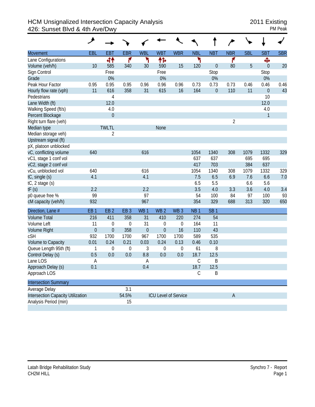## HCM Unsignalized Intersection Capacity Analysis<br>426: Sunset Blvd & 4th Ave/Dwy<br>PM Peak 426: Sunset Blvd & 4th Ave/Dwy

|                                          | حر              |                  |                 |                 |                  |                      |                 |                  |                |            |                  |            |
|------------------------------------------|-----------------|------------------|-----------------|-----------------|------------------|----------------------|-----------------|------------------|----------------|------------|------------------|------------|
| <b>Movement</b>                          | <b>EBL</b>      | <b>EBT</b>       | <b>EBR</b>      | <b>WBL</b>      | <b>WBT</b>       | <b>WBR</b>           | <b>NBL</b>      | <b>NBT</b>       | <b>NBR</b>     | <b>SBL</b> | <b>SBT</b>       | <b>SBR</b> |
| Lane Configurations                      |                 | 44               | ۴               | ۲               | 怍                |                      | ۲               |                  | ۴              |            | Ф                |            |
| Volume (veh/h)                           | 10              | 585              | 340             | 30              | 590              | 15                   | 120             | $\boldsymbol{0}$ | 80             | 5          | $\theta$         | 20         |
| Sign Control                             |                 | Free             |                 |                 | Free             |                      |                 | Stop             |                |            | Stop             |            |
| Grade                                    |                 | 0%               |                 |                 | 0%               |                      |                 | 0%               |                |            | $0\%$            |            |
| Peak Hour Factor                         | 0.95            | 0.95             | 0.95            | 0.96            | 0.96             | 0.96                 | 0.73            | 0.73             | 0.73           | 0.46       | 0.46             | 0.46       |
| Hourly flow rate (vph)                   | 11              | 616              | 358             | 31              | 615              | 16                   | 164             | $\boldsymbol{0}$ | 110            | 11         | $\boldsymbol{0}$ | 43         |
| Pedestrians                              |                 | 4                |                 |                 |                  |                      |                 |                  |                |            | 10               |            |
| Lane Width (ft)                          |                 | 12.0             |                 |                 |                  |                      |                 |                  |                |            | 12.0             |            |
| Walking Speed (ft/s)                     |                 | 4.0              |                 |                 |                  |                      |                 |                  |                |            | 4.0              |            |
| Percent Blockage                         |                 | $\boldsymbol{0}$ |                 |                 |                  |                      |                 |                  |                |            | $\mathbf{1}$     |            |
| Right turn flare (veh)                   |                 |                  |                 |                 |                  |                      |                 |                  | $\overline{2}$ |            |                  |            |
| Median type                              |                 | <b>TWLTL</b>     |                 |                 | None             |                      |                 |                  |                |            |                  |            |
| Median storage veh)                      |                 | 2                |                 |                 |                  |                      |                 |                  |                |            |                  |            |
| Upstream signal (ft)                     |                 |                  |                 |                 |                  |                      |                 |                  |                |            |                  |            |
| pX, platoon unblocked                    |                 |                  |                 |                 |                  |                      |                 |                  |                |            |                  |            |
| vC, conflicting volume                   | 640             |                  |                 | 616             |                  |                      | 1054            | 1340             | 308            | 1079       | 1332             | 329        |
| vC1, stage 1 conf vol                    |                 |                  |                 |                 |                  |                      | 637             | 637              |                | 695        | 695              |            |
| vC2, stage 2 conf vol                    |                 |                  |                 |                 |                  |                      | 417             | 703              |                | 384        | 637              |            |
| vCu, unblocked vol                       | 640             |                  |                 | 616             |                  |                      | 1054            | 1340             | 308            | 1079       | 1332             | 329        |
| tC, single (s)                           | 4.1             |                  |                 | 4.1             |                  |                      | 7.5             | 6.5              | 6.9            | 7.6        | 6.6              | 7.0        |
| tC, 2 stage (s)                          |                 |                  |                 |                 |                  |                      | 6.5             | 5.5              |                | 6.6        | 5.6              |            |
| tF(s)                                    | 2.2             |                  |                 | 2.2             |                  |                      | 3.5             | 4.0              | 3.3            | 3.6        | 4.0              | 3.4        |
| p0 queue free %                          | 99              |                  |                 | 97              |                  |                      | 54              | 100              | 84             | 97         | 100              | 93         |
| cM capacity (veh/h)                      | 932             |                  |                 | 967             |                  |                      | 354             | 329              | 688            | 313        | 320              | 650        |
| Direction, Lane #                        | EB <sub>1</sub> | EB <sub>2</sub>  | EB <sub>3</sub> | WB <sub>1</sub> | WB <sub>2</sub>  | WB <sub>3</sub>      | NB <sub>1</sub> | SB <sub>1</sub>  |                |            |                  |            |
| <b>Volume Total</b>                      | 216             | 411              | 358             | 31              | 410              | 220                  | 274             | 54               |                |            |                  |            |
| Volume Left                              | 11              | $\boldsymbol{0}$ | 0               | 31              | 0                | 0                    | 164             | 11               |                |            |                  |            |
| <b>Volume Right</b>                      | $\mathbf 0$     | $\mathbf{0}$     | 358             | $\theta$        | $\overline{0}$   | 16                   | 110             | 43               |                |            |                  |            |
| cSH                                      | 932             | 1700             | 1700            | 967             | 1700             | 1700                 | 589             | 535              |                |            |                  |            |
| Volume to Capacity                       | 0.01            | 0.24             | 0.21            | 0.03            | 0.24             | 0.13                 | 0.46            | 0.10             |                |            |                  |            |
| Queue Length 95th (ft)                   | 1               | $\boldsymbol{0}$ | $\mathbf 0$     | 3               | $\boldsymbol{0}$ | 0                    | 61              | 8                |                |            |                  |            |
| Control Delay (s)                        | 0.5             | 0.0              | 0.0             | 8.8             | 0.0              | 0.0                  | 18.7            | 12.5             |                |            |                  |            |
| Lane LOS                                 | Α               |                  |                 | Α               |                  |                      | C               | B                |                |            |                  |            |
| Approach Delay (s)                       | 0.1             |                  |                 | 0.4             |                  |                      | 18.7            | 12.5             |                |            |                  |            |
| Approach LOS                             |                 |                  |                 |                 |                  |                      | $\mathcal{C}$   | Β                |                |            |                  |            |
| <b>Intersection Summary</b>              |                 |                  |                 |                 |                  |                      |                 |                  |                |            |                  |            |
| Average Delay                            |                 |                  | 3.1             |                 |                  |                      |                 |                  |                |            |                  |            |
| <b>Intersection Capacity Utilization</b> |                 |                  | 54.5%           |                 |                  | ICU Level of Service |                 |                  | $\mathsf{A}$   |            |                  |            |
| Analysis Period (min)                    |                 |                  | 15              |                 |                  |                      |                 |                  |                |            |                  |            |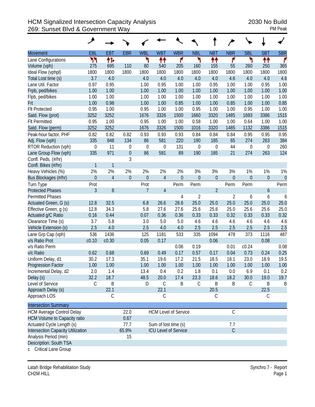## HCM Signalized Intersection Capacity Analysis 2030 No Build 269: Sunset Blvd & Government Way PM Peak

|                                     | ↗                |                |                  |                |                             |                             |                  |                  |                |                |                  |            |
|-------------------------------------|------------------|----------------|------------------|----------------|-----------------------------|-----------------------------|------------------|------------------|----------------|----------------|------------------|------------|
| <b>Movement</b>                     | <b>EBL</b>       | <b>EBT</b>     | <b>EBR</b>       | <b>WBL</b>     | <b>WBT</b>                  | <b>WBR</b>                  | <b>NBL</b>       | <b>NBT</b>       | <b>NBR</b>     | <b>SBL</b>     | <b>SBT</b>       | <b>SBR</b> |
| Lane Configurations                 | ካካ               | 怍              |                  | ۲              | ↟↟                          | ۴                           | ۲                | ₩                | ۴              | ۲              | ተተ               | ۴          |
| Volume (vph)                        | 275              | 695            | 110              | 80             | 540                         | 205                         | 160              | 155              | 55             | 260            | 250              | 365        |
| Ideal Flow (vphpl)                  | 1800             | 1800           | 1800             | 1800           | 1800                        | 1800                        | 1800             | 1800             | 1800           | 1800           | 1800             | 1800       |
| Total Lost time (s)                 | 3.7              | 4.0            |                  | 4.0            | 4.0                         | 4.0                         | 4.0              | 4.0              | 4.6            | 4.0            | 4.0              | 4.6        |
| Lane Util. Factor                   | 0.97             | 0.95           |                  | 1.00           | 0.95                        | 1.00                        | 1.00             | 0.95             | 1.00           | 1.00           | 0.95             | 1.00       |
| Frpb, ped/bikes                     | 1.00             | 1.00           |                  | 1.00           | 1.00                        | 1.00                        | 1.00             | 1.00             | 1.00           | 1.00           | 1.00             | 1.00       |
| Flpb, ped/bikes                     | 1.00             | 1.00           |                  | 1.00           | 1.00                        | 1.00                        | 1.00             | 1.00             | 1.00           | 1.00           | 1.00             | 1.00       |
| Frt                                 | 1.00             | 0.98           |                  | 1.00           | 1.00                        | 0.85                        | 1.00             | 1.00             | 0.85           | 1.00           | 1.00             | 0.85       |
| <b>Flt Protected</b>                | 0.95             | 1.00           |                  | 0.95           | 1.00                        | 1.00                        | 0.95             | 1.00             | 1.00           | 0.95           | 1.00             | 1.00       |
| Satd. Flow (prot)                   | 3252             | 3252           |                  | 1676           | 3326                        | 1500                        | 1660             | 3320             | 1485           | 1693           | 3386             | 1515       |
| <b>Flt Permitted</b>                | 0.95             | 1.00           |                  | 0.95           | 1.00                        | 1.00                        | 0.58             | 1.00             | 1.00           | 0.64           | 1.00             | 1.00       |
| Satd. Flow (perm)                   | 3252             | 3252           |                  | 1676           | 3326                        | 1500                        | 1016             | 3320             | 1485           | 1132           | 3386             | 1515       |
| Peak-hour factor, PHF               | 0.82             | 0.82           | 0.82             | 0.93           | 0.93                        | 0.93                        | 0.84             | 0.84             | 0.84           | 0.95           | 0.95             | 0.95       |
| Adj. Flow (vph)                     | 335              | 848            | 134              | 86             | 581                         | 220                         | 190              | 185              | 65             | 274            | 263              | 384        |
| RTOR Reduction (vph)                | $\boldsymbol{0}$ | 11             | $\boldsymbol{0}$ | $\mathbf 0$    | $\boldsymbol{0}$            | 131                         | $\boldsymbol{0}$ | $\boldsymbol{0}$ | 44             | 0              | 0                | 260        |
| Lane Group Flow (vph)               | 335              | 971            | $\boldsymbol{0}$ | 86             | 581                         | 89                          | 190              | 185              | 21             | 274            | 263              | 124        |
| Confl. Peds. (#/hr)                 |                  |                | 3                |                |                             |                             |                  |                  |                |                |                  |            |
| Confl. Bikes (#/hr)                 | 1                | 1              |                  |                |                             |                             |                  |                  |                |                |                  |            |
| Heavy Vehicles (%)                  | 2%               | 2%             | 2%               | 2%             | 2%                          | 2%                          | 3%               | 3%               | 3%             | 1%             | 1%               | 1%         |
| Bus Blockages (#/hr)                | $\mathbf{0}$     | $\overline{4}$ | $\overline{0}$   | $\theta$       | $\overline{4}$              | $\mathbf 0$                 | $\mathbf 0$      | $\boldsymbol{0}$ | $\mathbf 0$    | $\overline{0}$ | $\theta$         | $\theta$   |
| Turn Type                           | Prot             |                |                  | Prot           |                             | Perm                        | Perm             |                  | Perm           | Perm           |                  | Perm       |
| <b>Protected Phases</b>             | $\mathfrak{Z}$   | 8              |                  | $\overline{7}$ | $\overline{4}$              |                             |                  | $\overline{2}$   |                |                | $\boldsymbol{6}$ |            |
| <b>Permitted Phases</b>             |                  |                |                  |                |                             | 4                           | $\overline{2}$   |                  | $\overline{2}$ | 6              | 6                | 6          |
| Actuated Green, G (s)               | 12.8             | 32.5           |                  | 6.8            | 26.6                        | 26.6                        | 25.0             | 25.0             | 25.0           | 25.0           | 25.0             | 25.0       |
| Effective Green, g (s)              | 12.8             | 34.3           |                  | 5.8            | 27.6                        | 27.6                        | 25.6             | 25.6             | 25.0           | 25.6           | 25.6             | 25.0       |
| Actuated g/C Ratio                  | 0.16             | 0.44           |                  | 0.07           | 0.36                        | 0.36                        | 0.33             | 0.33             | 0.32           | 0.33           | 0.33             | 0.32       |
| Clearance Time (s)                  | 3.7              | 5.8            |                  | 3.0            | 5.0                         | 5.0                         | 4.6              | 4.6              | 4.6            | 4.6            | 4.6              | 4.6        |
| Vehicle Extension (s)               | 2.5              | 4.0            |                  | 2.5            | 4.0                         | 4.0                         | 2.5              | 2.5              | 2.5            | 2.5            | 2.5              | 2.5        |
| Lane Grp Cap (vph)                  | 536              | 1436           |                  | 125            | 1181                        | 533                         | 335              | 1094             | 478            | 373            | 1116             | 487        |
| v/s Ratio Prot                      | c0.10            | c0.30          |                  | 0.05           | 0.17                        |                             |                  | 0.06             |                |                | 0.08             |            |
| v/s Ratio Perm                      |                  |                |                  |                |                             | 0.06                        | 0.19             |                  | 0.01           | c0.24          |                  | 0.08       |
| v/c Ratio                           | 0.62             | 0.68           |                  | 0.69           | 0.49                        | 0.17                        | 0.57             | 0.17             | 0.04           | 0.73           | 0.24             | 0.25       |
| Uniform Delay, d1                   | 30.2             | 17.3           |                  | 35.1           | 19.6                        | 17.2                        | 21.5             | 18.5             | 18.1           | 23.0           | 18.9             | 19.5       |
| Progression Factor                  | 1.00             | 1.00           |                  | 1.00           | 1.00                        | 1.00                        | 1.00             | 1.00             | 1.00           | 1.00           | 1.00             | 1.00       |
| Incremental Delay, d2               | 2.0              | 1.4            |                  | 13.4           | 0.4                         | 0.2                         | 1.8              | 0.1              | 0.0            | 6.9            | 0.1              | 0.2        |
| Delay (s)                           | 32.2             | 18.7           |                  | 48.5           | 20.0                        | 17.4                        | 23.3             | 18.6             | 18.2           | 30.0           | 19.0             | 19.7       |
| Level of Service                    | C                | B              |                  | D              | $\mathsf C$                 | B                           | С                | Β                | Β              | $\mathsf C$    | Β                | B          |
| Approach Delay (s)                  |                  | 22.1           |                  |                | 22.1                        |                             |                  | 20.5             |                |                | 22.5             |            |
| Approach LOS                        |                  | C              |                  |                | $\mathcal{C}$               |                             |                  | С                |                |                | C                |            |
| <b>Intersection Summary</b>         |                  |                |                  |                |                             |                             |                  |                  |                |                |                  |            |
| <b>HCM Average Control Delay</b>    |                  |                | 22.0             |                |                             | <b>HCM Level of Service</b> |                  |                  | $\mathsf C$    |                |                  |            |
| <b>HCM Volume to Capacity ratio</b> |                  |                | 0.67             |                |                             |                             |                  |                  |                |                |                  |            |
| Actuated Cycle Length (s)           |                  |                | 77.7             |                | Sum of lost time (s)<br>7.7 |                             |                  |                  |                |                |                  |            |
| Intersection Capacity Utilization   |                  |                | 65.9%            |                |                             | <b>ICU Level of Service</b> |                  |                  | $\mathsf C$    |                |                  |            |
| Analysis Period (min)               |                  |                | 15               |                |                             |                             |                  |                  |                |                |                  |            |
| Description: South TSA              |                  |                |                  |                |                             |                             |                  |                  |                |                |                  |            |
| c Critical Lane Group               |                  |                |                  |                |                             |                             |                  |                  |                |                |                  |            |

Latah Bridge Rehabilitation Study Synchro 7 - Report CH2M HILL Page 1